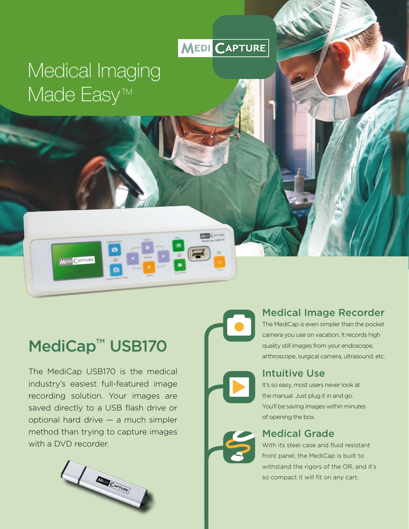# MEDI CAPTURE

# Medical Imaging Made Easy<sup>™</sup>

# MediCap<sup>™</sup> USB170

MEDI CAPTURE

The MediCap USB170 is the medical industry's easiest full-featured image recording solution. Your images are saved directly to a USB flash drive or optional hard drive — a much simpler method than trying to capture images with a DVD recorder.



# Medical Image Recorder

The MediCap is even simpler than the pocket camera you use on vacation. It records high quality still images from your endoscope, arthroscope, surgical camera, ultrasound, etc.

### Intuitive Use

It's so easy, most users never look at the manual. Just plug it in and go. You'll be saving images within minutes of opening the box.

### Medical Grade

With its steel case and fluid resistant front panel, the MediCap is built to withstand the rigors of the OR, and it's so compact it will fit on any cart.